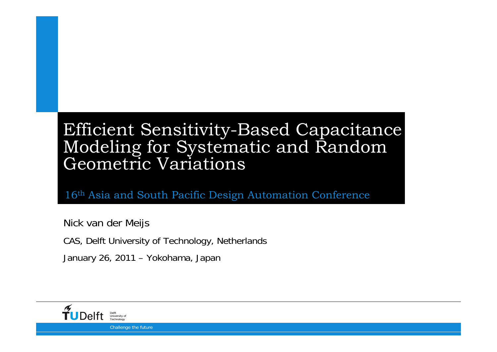#### Efficient Sensitivity-Based Capacitance Modeling for Systematic and Random Geometric Variations

16th Asia and South Pacific Design Automation Conference

Nick van der Meijs

CAS, Delft University of Technology, Netherlands

January 26, 2011 – Yokohama, Japan



Challenge the future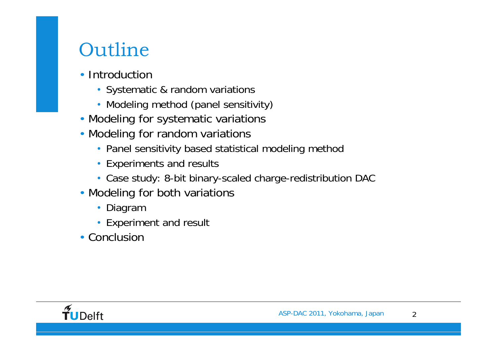# Outline

- Introduction
	- Systematic & random variations
	- Modeling method (panel sensitivity)
- Modeling for systematic variations
- Modeling for random variations
	- Panel sensitivity based statistical modeling method
	- Experiments and results
	- Case study: 8-bit binary-scaled charge-redistribution DAC
- Modeling for both variations
	- Diagram
	- Experiment and result
- Conclusion

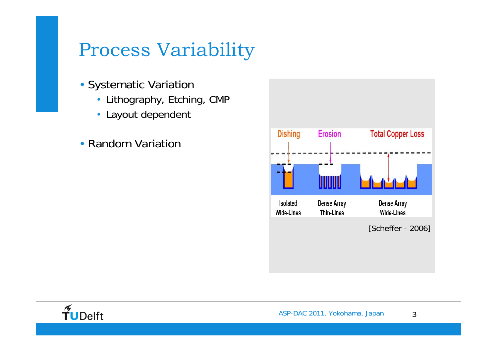# Process Variability

- Systematic Variation
	- Lithography, Etching, CMP
	- Layout dependent
- Random Variation



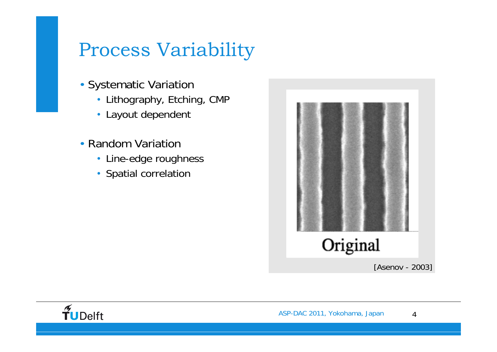# Process Variability

- Systematic Variation
	- Lithography, Etching, CMP
	- Layout dependent
- Random Variation
	- Line-edge roughness
	- Spatial correlation



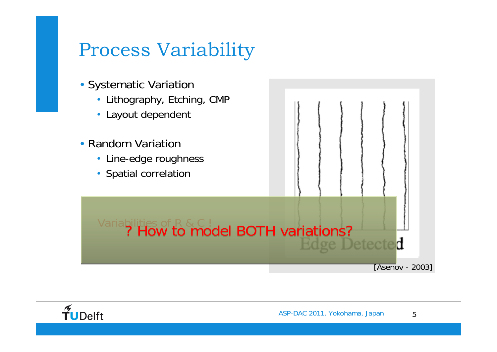## Process Variability



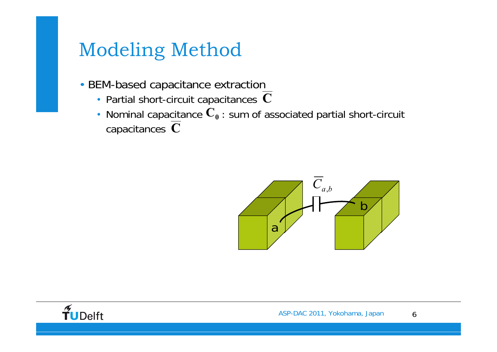### Modeling Method

- BEM-based capacitance extraction
	- Partial short-circuit capacitances **C**
	- Nominal capacitance  $\mathbf{C_0}$  : sum of associated partial short-circuit capacitances **C**



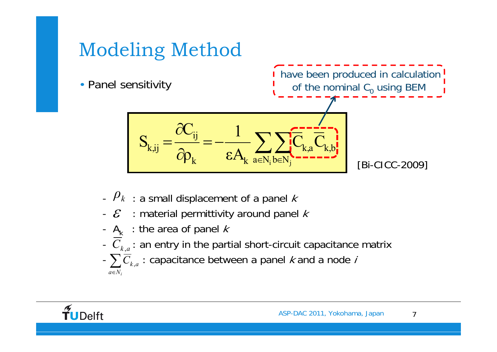# Modeling Method

• Panel sensitivity



- $\mu$  : a small displacement of a panel  $k$
- $\mathcal E$  : material permittivity around panel  $k$
- $A_k$  : the area of panel  $k$
- $\ C_{k,a}^{}$  : an entry in the partial short-circuit capacitance matrix
- $-\sum \overline{C}_{k,a}$  : capacitance between a panel  $k$  and a node  $i$  $a∈N<sub>i</sub>$

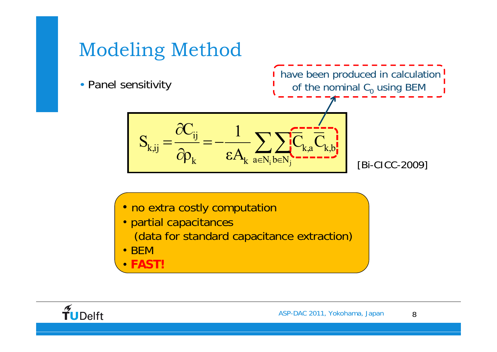## Modeling Method

• Panel sensitivity

I have been produced in calculation! of the nominal  $\textsf{C}_\textup{0}$  using BEM  $^+$ 

$$
S_{k,ij} = \frac{\partial C_{ij}}{\partial \rho_k} = -\frac{1}{\epsilon A_k} \sum_{a \in N_i} \sum_{b \in N_j} \overline{C}_{k,a} \overline{C}_{k,b} \tag{Bi-CICC-2009}
$$

- no extra costly computation
- partial capacitances

(data for standard capacitance extraction)

- •BEM
- •**FAST!**

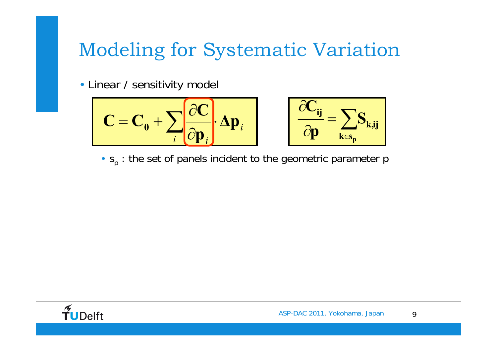# Modeling for Systematic Variation

• Linear / sensitivity model

$$
C = C_0 + \sum_{i} \frac{\partial C}{\partial p_i} \cdot \Delta p_i
$$
  $\frac{\partial C_{ij}}{\partial p} = \sum_{k \in S_p} S_{k,ij}$ 

$$
\left|\frac{\partial C_{ij}}{\partial p}=\sum_{k\in s_p}S_{k,ij}\right|
$$

•  $s_p$  : the set of panels incident to the geometric parameter p

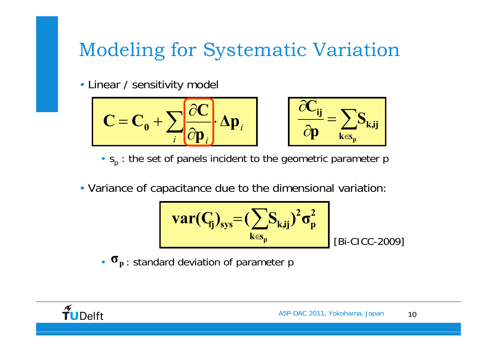# Modeling for Systematic Variation

• Linear / sensitivity model

$$
C = C_0 + \sum_{i} \frac{\partial C}{\partial p_i} \cdot \Delta p_i
$$
 
$$
\frac{\partial C_{ij}}{\partial p} = \sum_{k \in S_p} S_{k,ij}
$$



- $s_p$  : the set of panels incident to the geometric parameter p
- Variance of capacitance due to the dimensional variation:

$$
var(C_{ij})_{sys} = (\sum_{k \in s_p} S_{k,ij})^2 \sigma_p^2
$$

[Bi-CICC-2009]

**·**  $\sigma_p$  : standard deviation of parameter p

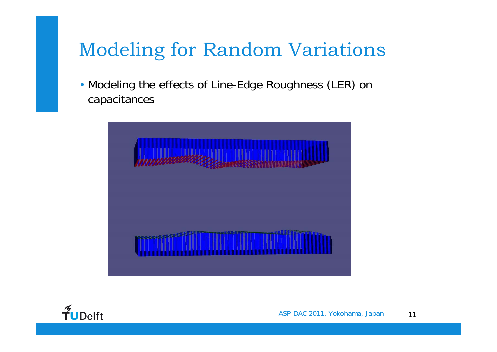## Modeling for Random Variations

• Modeling the effects of Line-Edge Roughness (LER) on capacitances



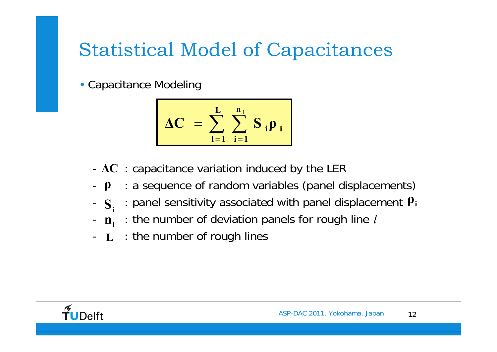# Statistical Model of Capacitances

• Capacitance Modeling

$$
\Delta C = \sum_{i=1}^{L} \sum_{i=1}^{n_i} S_i \rho_i
$$

- - $\textbf{-}\Delta\textbf{C}\text{ }$  : capacitance variation induced by the LER
- -**ρ**: a sequence of random variables (panel displacements)
- $\overline{\mathbf{S}}$ . : panel sensitivity associated with panel displacement **ρi Si**
- -**nl**: the number of deviation panels for rough line *l*
- -- **L** : the number of rough lines

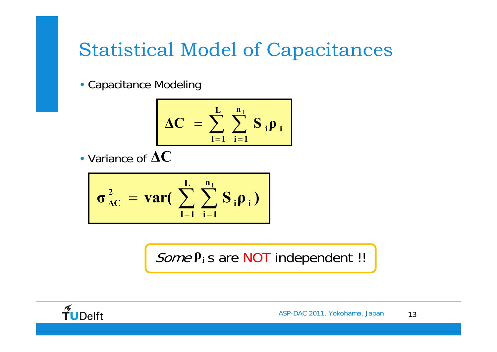#### Statistical Model of Capacitances

• Capacitance Modeling

$$
\Delta C = \sum_{l=1}^{L} \sum_{i=1}^{n_l} S_i \rho_i
$$

• Variance of **ΔC**

$$
\sigma_{\Delta C}^2 = \text{var}(\sum_{l=1}^L \sum_{i=1}^{n_l} S_i \rho_i)
$$

Some **P**<sub>i</sub> s are NOT independent !!

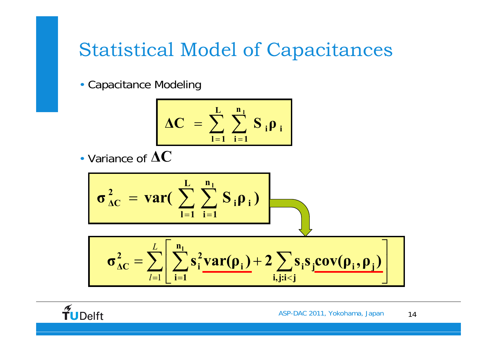#### Statistical Model of Capacitances

• Capacitance Modeling

$$
\Delta C = \sum_{l=1}^{L} \sum_{i=1}^{n_l} S_i \rho_i
$$

• Variance of **ΔC**

$$
\sigma_{\Delta C}^2 = \text{var}\left(\sum_{i=1}^L \sum_{i=1}^{n_i} S_i \rho_i\right)
$$
\n
$$
\sigma_{\Delta C}^2 = \sum_{i=1}^L \left[\sum_{i=1}^{n_i} s_i^2 \text{var}(\rho_i) + 2 \sum_{i,j:i < j} s_i s_j \text{cov}(\rho_i, \rho_j)\right]
$$

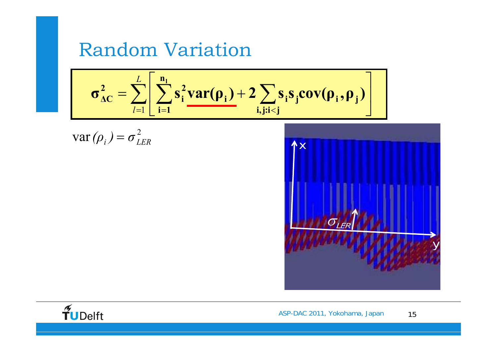#### Random Variation

$$
\sigma_{\Delta C}^2 = \sum_{l=1}^L \left[ \sum_{i=1}^{n_l} s_i^2 var(\rho_i) + 2 \sum_{i,j;i < j} s_i s_j cov(\rho_i, \rho_j) \right]
$$

$$
\text{var}(\rho_i) = \sigma_{LER}^2
$$





ASP-DAC 2011, Yokohama, Japan 15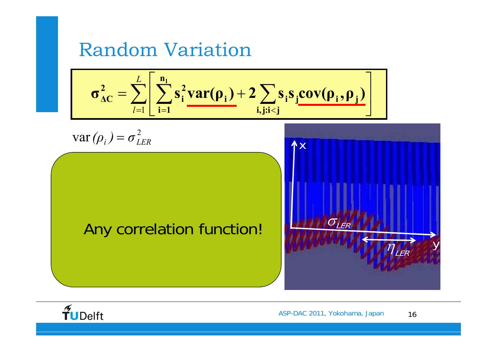#### Random Variation

$$
\sigma_{AC}^{2} = \sum_{i=1}^{L} \left[ \sum_{i=1}^{n_{i}} s_{i}^{2} \text{var}(\rho_{i}) + 2 \sum_{i,j:i  
var( $\rho_{i}$ ) =  $\sigma_{LER}^{2}$   
Any correlation function!
$$

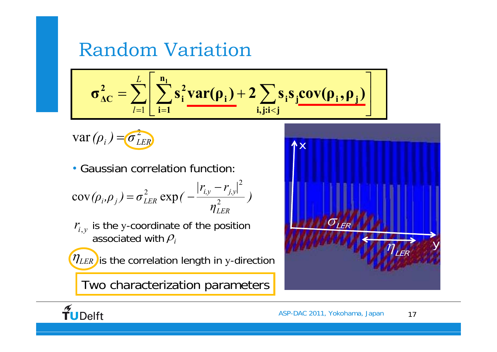#### Random Variation

$$
\sigma_{\Delta C}^2 = \sum_{l=1}^L \left[ \sum_{i=1}^{n_l} s_i^2 var(\rho_i) + 2 \sum_{i,j:i < j} s_i s_j cov(\rho_i, \rho_j) \right]
$$

2 $var(\rho_i) = \sigma_{LER}^2$ 

• Gaussian correlation function:

$$
cov(\rho_i, \rho_j) = \sigma_{LER}^2 \exp(-\frac{|r_{i,y} - r_{j,y}|^2}{\eta_{LER}^2})
$$

 $r_{i,y}^{\phantom{\dag}}$  is the y-coordinate of the position associated with ρ*i*

 $(\eta_{LER})$ is the correlation length in y-direction

Two characterization parameters



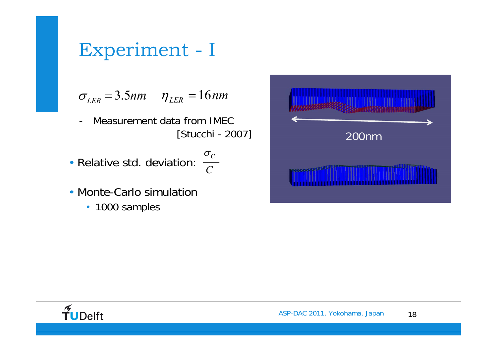## Experiment - I

 $\sigma_{LER} = 3.5$ *nm*  $\eta_{LER} = 16$ *nm* 

- Measurement data from IMEC [Stucchi - 2007]

*C*

- Relative std. deviation:  $\frac{\sigma_c}{\sigma_c}$
- Monte-Carlo simulation
	- 1000 samples



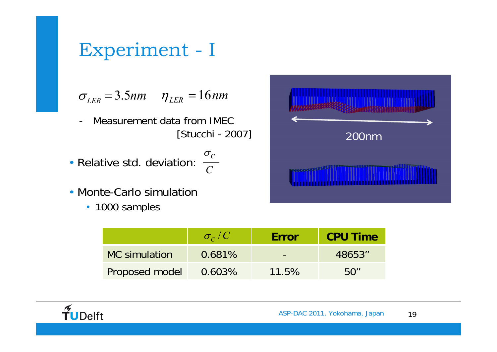## Experiment - I

 $\sigma_{LER} = 3.5$ *nm*  $\eta_{LER} = 16$ *nm* 

- - Measurement data from IMEC [Stucchi - 2007]
- Relative std. deviation:  $\frac{\sigma_c}{\sigma_c}$
- Monte-Carlo simulation
	- 1000 samples



|                      | $\sigma_c/C$ | <b>Error</b> | <b>CPU Time</b> |
|----------------------|--------------|--------------|-----------------|
| <b>MC</b> simulation | 0.681%       |              | 48653"          |
| Proposed model       | $0.603\%$    | 11.5%        | 50''            |

*C*

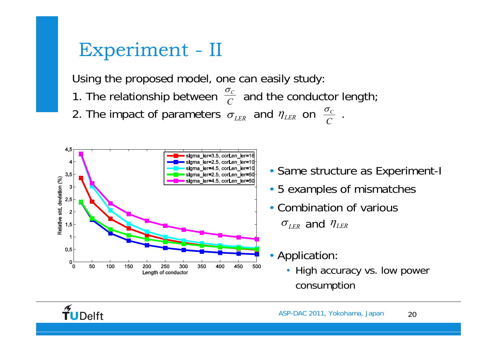#### Experiment - II

Using the proposed model, one can easily study:

- 1. The relationship between  $\frac{1}{C}$  and the conductor length;  $\sigma_{_C}$
- 2. The impact of parameters  $\, \sigma_{_{LER}} \,$  and  $\, \eta_{_{LER}} \,$  on  $\, \frac{\sigma_{\scriptscriptstyle C}}{\, C} \,$  .  $\sigma$ <sub>LER</sub> and  $\eta$ <sub>LER</sub> on  $\frac{\sigma_c}{C}$



- Same structure as Experiment-I
- 5 examples of mismatches
- Combination of various  $\sigma$ <sub>LER</sub> and  $\eta$ <sub>LER</sub>
- Application:
	- High accuracy vs. low power consumption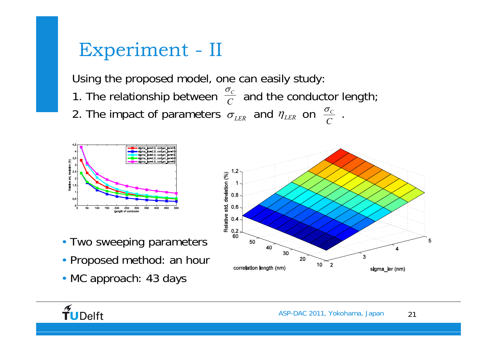#### Experiment - II

Using the proposed model, one can easily study:

- 1. The relationship between  $\frac{1}{C}$  and the conductor length;  $\sigma_{_C}$
- 2. The impact of parameters  $\, \sigma_{_{LER}} \,$  and  $\, \eta_{_{LER}} \,$  on  $\, \frac{\sigma_{\scriptscriptstyle C}}{\, C} \,$  .  $\sigma$ <sub>LER</sub> and  $\eta$ <sub>LER</sub> on  $\frac{\sigma_c}{C}$



- Two sweeping parameters
- Proposed method: an hour
- MC approach: 43 days



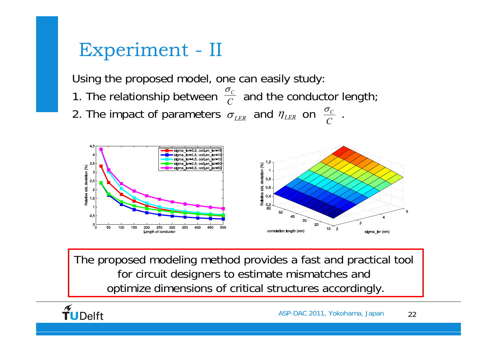#### Experiment - II

Using the proposed model, one can easily study:

- 1. The relationship between  $\frac{1}{C}$  and the conductor length;  $\sigma_{_C}$
- 2. The impact of parameters  $\, \sigma_{_{LER}} \,$  and  $\, \eta_{_{LER}} \,$  on  $\, \frac{\sigma_{\scriptscriptstyle C}}{\, C} \,$  .  $\sigma$ <sub>LER</sub> and  $\eta$ <sub>LER</sub> on  $\frac{\sigma_c}{C}$



The proposed modeling method provides a fast and practical tool for circuit designers to estimate mismatches and optimize dimensions of critical structures accordingly.

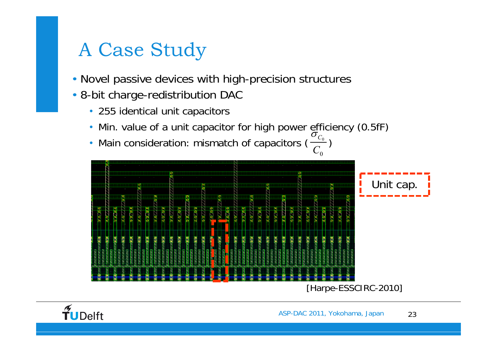# A Case Study

- Novel passive devices with high-precision structures
- 8-bit charge-redistribution DAC
	- 255 identical unit capacitors
	- Min. value of a unit capacitor for high power efficiency (0.5fF)
	- Main consideration: mismatch of capacitors  $(\frac{\epsilon_0}{G})$  $\boldsymbol{0}$ *C*  $\sigma_{_C}$



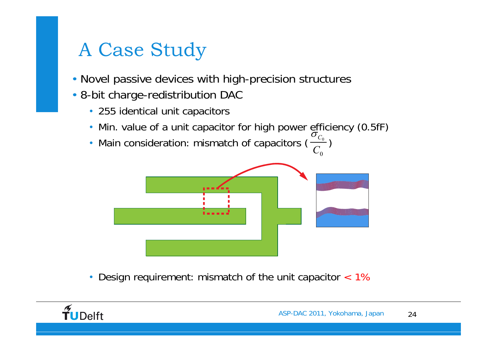## A Case Study

- Novel passive devices with high-precision structures
- 8-bit charge-redistribution DAC
	- 255 identical unit capacitors
	- Min. value of a unit capacitor for high power efficiency (0.5fF)
	- Main consideration: mismatch of capacitors  $(\frac{\epsilon_0}{G})$  $\boldsymbol{0}$ *C* $\sigma_{_C}$



 $\bullet$ Design requirement: mismatch of the unit capacitor < 1%

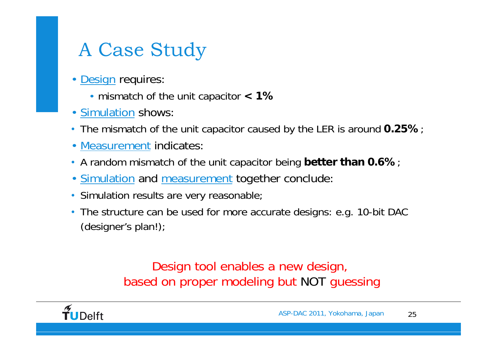# A Case Study

- $\bullet$ Design requires:
	- mismatch of the unit capacitor **< 1%**
- Simulation shows:
- The mismatch of the unit capacitor caused by the LER is around **0.25%**;
- $\bullet$ Measurement indicates:
- A random mismatch of the unit capacitor being **better than 0.6%**;
- <u>Simulation</u> and <u>measurement</u> together conclude:
- Simulation results are very reasonable;
- The structure can be used for more accurate designs: e.g. 10-bit DAC (designer's plan!);

#### Design tool enables a new design, based on proper modeling but NOT guessing

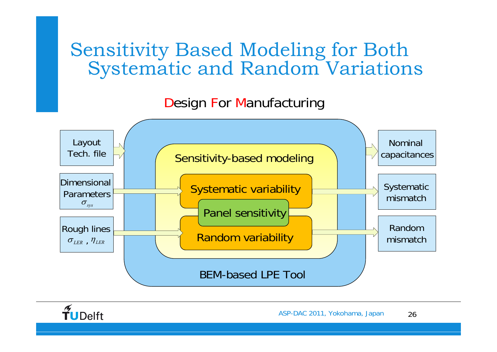#### Sensitivity Based Modeling for Both Systematic and Random Variations

#### Design For Manufacturing



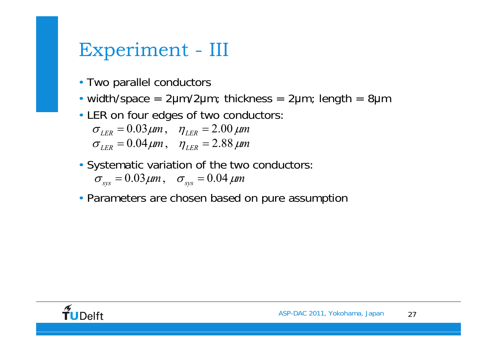#### Experiment - III

- Two parallel conductors
- width/space =  $2\mu$ m/ $2\mu$ m; thickness =  $2\mu$ m; length =  $8\mu$ m
- LER on four edges of two conductors:

 $σ$ <sub>LER</sub> = 0.03 μm,  $η$ <sub>LER</sub> = 2.00 μm  $σ$ <sub>LER</sub> = 0.04 μm,  $η$ <sub>LER</sub> = 2.88 μm

- Systematic variation of the two conductors:  $\sigma_{\rm sys} = 0.03 \,\mu m$ ,  $\sigma_{\rm sys} = 0.04 \,\mu m$
- Parameters are chosen based on pure assumption

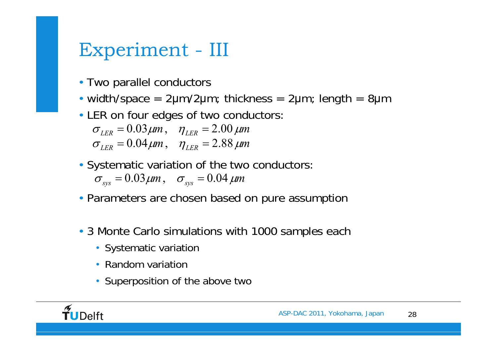## Experiment - III

- Two parallel conductors
- width/space =  $2\mu$ m/ $2\mu$ m; thickness =  $2\mu$ m; length =  $8\mu$ m
- LER on four edges of two conductors:

 $σ$ <sub>LER</sub> = 0.03 μm,  $η$ <sub>LER</sub> = 2.00 μm  $σ<sub>LER</sub> = 0.04 μm, η<sub>LER</sub> = 2.88 μm$ 

- Systematic variation of the two conductors:  $\sigma_{\rm sys} = 0.03 \,\mu m$ ,  $\sigma_{\rm sys} = 0.04 \,\mu m$
- Parameters are chosen based on pure assumption
- 3 Monte Carlo simulations with 1000 samples each
	- Systematic variation
	- Random variation
	- Superposition of the above two

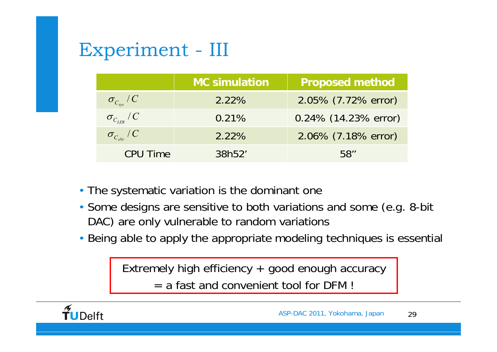# Experiment - III

|                                              | <b>MC simulation</b> | <b>Proposed method</b> |
|----------------------------------------------|----------------------|------------------------|
| $\sigma_{_{C_{\rm sys}}}$ / $C_{_{\rm sys}}$ | 2.22%                | 2.05% (7.72% error)    |
| $\sigma_{_{C_{L\!E\!R}}}$ / $C$              | 0.21%                | 0.24% (14.23% error)   |
| $\sigma_{_{C_{sNr}}}/C$                      | 2.22%                | 2.06% (7.18% error)    |
| <b>CPU Time</b>                              | 38h52'               | 58''                   |

- The systematic variation is the dominant one
- Some designs are sensitive to both variations and some (e.g. 8-bit DAC) are only vulnerable to random variations
- Being able to apply the appropriate modeling techniques is essential

Extremely high efficiency + good enough accuracy  $=$  a fast and convenient tool for DFM !